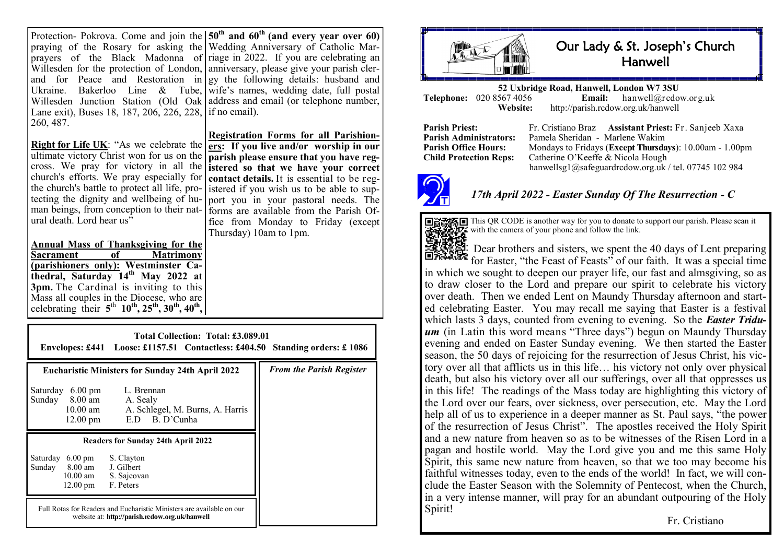| Protection- Pokrova. Come and join the $50th$ and $60th$ (and every year over 60)  |                                                                           |
|------------------------------------------------------------------------------------|---------------------------------------------------------------------------|
|                                                                                    | praying of the Rosary for asking the Wedding Anniversary of Catholic Mar- |
|                                                                                    | prayers of the Black Madonna of riage in 2022. If you are celebrating an  |
| Willesden for the protection of London, anniversary, please give your parish cler- |                                                                           |
|                                                                                    | and for Peace and Restoration in gy the following details: husband and    |
| Ukraine. Bakerloo Line & Tube, wife's names, wedding date, full postal             |                                                                           |
| Willesden Junction Station (Old Oak   address and email (or telephone number,      |                                                                           |
| Lane exit), Buses 18, 187, 206, 226, 228, 1 if no email).                          |                                                                           |
| 260, 487.                                                                          |                                                                           |

**Right for Life UK**: "As we celebrate the ultimate victory Christ won for us on the cross. We pray for victory in all the church's efforts. We pray especially for the church's battle to protect all life, protecting the dignity and wellbeing of human beings, from conception to their natural death. Lord hear  $us$ <sup>5</sup>

**Annual Mass of Thanksgiving for the Matrimony (parishioners only): Westminster Cathedral, Saturday 14th May 2022 at 3pm.** The Cardinal is inviting to this Mass all couples in the Diocese, who are celebrating their  $5^{th}$  10<sup>th</sup>, 25<sup>th</sup>, 30<sup>th</sup>, 40<sup>th</sup>,

**Registration Forms for all Parishioners: If you live and/or worship in our parish please ensure that you have registered so that we have your correct contact details.** It is essential to be registered if you wish us to be able to support you in your pastoral needs. The forms are available from the Parish Office from Monday to Friday (except Thursday) 10am to 1pm.

| Total Collection: Total: £3.089.01<br>Envelopes: £441 Loose: £1157.51 Contactless: £404.50 Standing orders: £1086                                                                                                                         |                                 |  |  |
|-------------------------------------------------------------------------------------------------------------------------------------------------------------------------------------------------------------------------------------------|---------------------------------|--|--|
| <b>Eucharistic Ministers for Sunday 24th April 2022</b><br>$6.00 \text{ pm}$<br>L. Brennan<br>Saturday<br>Sunday<br>8.00 am<br>A. Sealy<br>A. Schlegel, M. Burns, A. Harris<br>$10.00 \text{ am}$<br>E.D B. D'Cunha<br>$12.00 \text{ pm}$ | <b>From the Parish Register</b> |  |  |
| Readers for Sunday 24th April 2022<br>Saturday 6.00 pm<br>S. Clayton<br>Sunday 8.00 am<br>J. Gilbert<br>$10.00$ am<br>S. Sajeovan<br>12.00 pm<br>F. Peters                                                                                |                                 |  |  |
| Full Rotas for Readers and Eucharistic Ministers are available on our<br>website at: http://parish.rcdow.org.uk/hanwell                                                                                                                   |                                 |  |  |



## Our Lady & St. Joseph's Church **Hanwell**

**52 Uxbridge Road, Hanwell, London W7 3SU Telephone:** 020 8567 4056 **Email:**<br>Website: http://parish.rcdo **Website:** http://parish.rcdow.org.uk/hanwell

**Parish Priest:** Fr. Cristiano Braz **Assistant Priest:** Fr. Sanjeeb Xaxa **Parish Administrators:** Pamela Sheridan - Marlene Wakim **Parish Office Hours:** Mondays to Fridays (**Except Thursdays**): 10.00am - 1.00pm Child Protection Reps: Catherine O'Keeffe & Nicola Hough Catherine O'Keeffe & Nicola Hough hanwellsg1@safeguardrcdow.org.uk / tel. 07745 102 984



## *17th April 2022 - Easter Sunday Of The Resurrection - C*



This QR CODE is another way for you to donate to support our parish. Please scan it with the camera of your phone and follow the link.

Dear brothers and sisters, we spent the 40 days of Lent preparing for Easter, "the Feast of Feasts" of our faith. It was a special time in which we sought to deepen our prayer life, our fast and almsgiving, so as to draw closer to the Lord and prepare our spirit to celebrate his victory over death. Then we ended Lent on Maundy Thursday afternoon and started celebrating Easter. You may recall me saying that Easter is a festival which lasts 3 days, counted from evening to evening. So the *Easter Tridu***um** (in Latin this word means "Three days") begun on Maundy Thursday evening and ended on Easter Sunday evening. We then started the Easter season, the 50 days of rejoicing for the resurrection of Jesus Christ, his victory over all that afflicts us in this life… his victory not only over physical death, but also his victory over all our sufferings, over all that oppresses us in this life! The readings of the Mass today are highlighting this victory of the Lord over our fears, over sickness, over persecution, etc. May the Lord help all of us to experience in a deeper manner as St. Paul says, "the power of the resurrection of Jesus Christ". The apostles received the Holy Spirit and a new nature from heaven so as to be witnesses of the Risen Lord in a pagan and hostile world. May the Lord give you and me this same Holy Spirit, this same new nature from heaven, so that we too may become his faithful witnesses today, even to the ends of the world! In fact, we will conclude the Easter Season with the Solemnity of Pentecost, when the Church, in a very intense manner, will pray for an abundant outpouring of the Holy Spirit!

Fr. Cristiano